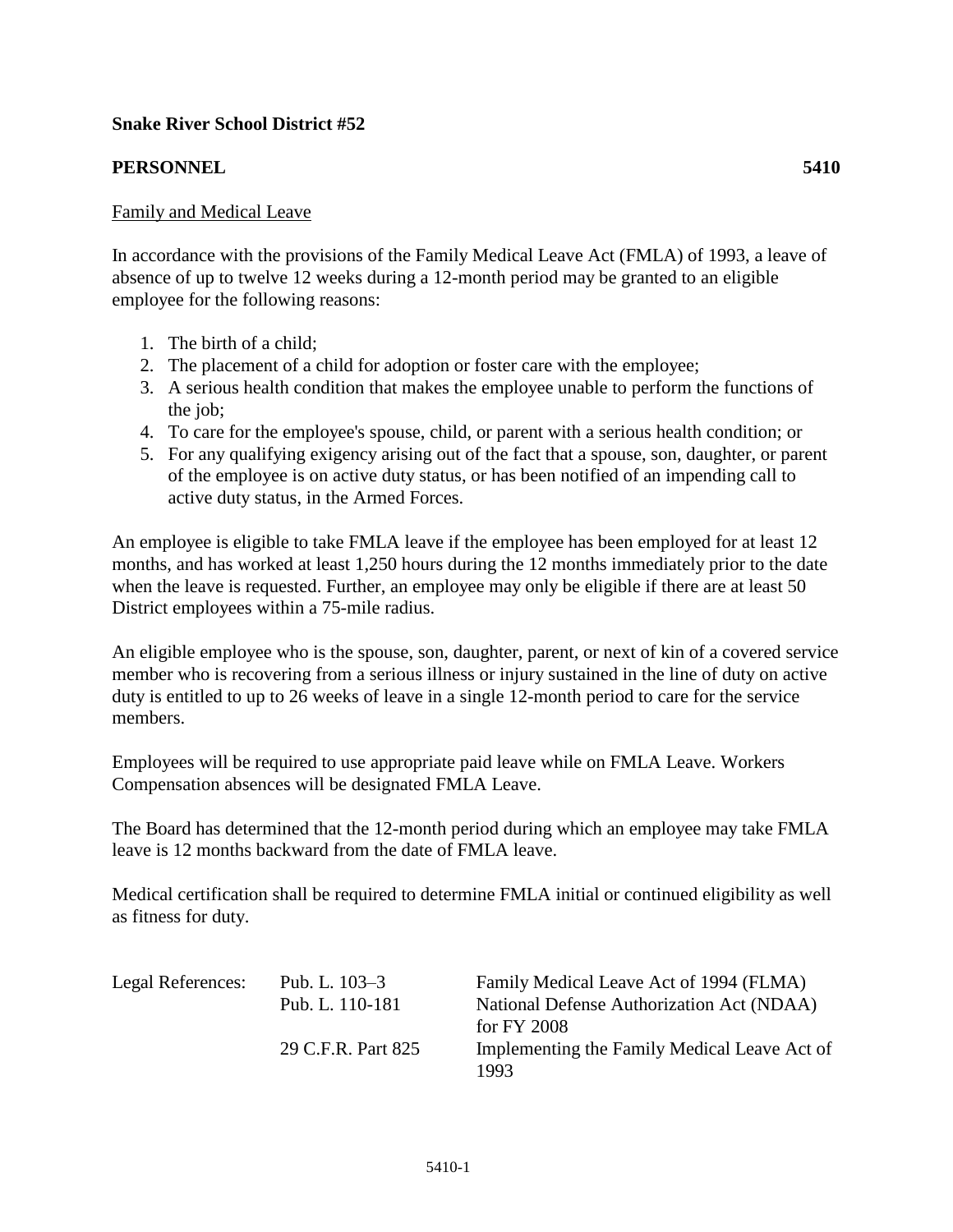## **Snake River School District #52**

## **PERSONNEL 5410**

## Family and Medical Leave

In accordance with the provisions of the Family Medical Leave Act (FMLA) of 1993, a leave of absence of up to twelve 12 weeks during a 12-month period may be granted to an eligible employee for the following reasons:

- 1. The birth of a child;
- 2. The placement of a child for adoption or foster care with the employee;
- 3. A serious health condition that makes the employee unable to perform the functions of the job;
- 4. To care for the employee's spouse, child, or parent with a serious health condition; or
- 5. For any qualifying exigency arising out of the fact that a spouse, son, daughter, or parent of the employee is on active duty status, or has been notified of an impending call to active duty status, in the Armed Forces.

An employee is eligible to take FMLA leave if the employee has been employed for at least 12 months, and has worked at least 1,250 hours during the 12 months immediately prior to the date when the leave is requested. Further, an employee may only be eligible if there are at least 50 District employees within a 75-mile radius.

An eligible employee who is the spouse, son, daughter, parent, or next of kin of a covered service member who is recovering from a serious illness or injury sustained in the line of duty on active duty is entitled to up to 26 weeks of leave in a single 12-month period to care for the service members.

Employees will be required to use appropriate paid leave while on FMLA Leave. Workers Compensation absences will be designated FMLA Leave.

The Board has determined that the 12-month period during which an employee may take FMLA leave is 12 months backward from the date of FMLA leave.

Medical certification shall be required to determine FMLA initial or continued eligibility as well as fitness for duty.

| Legal References: | Pub. L. $103-3$    | Family Medical Leave Act of 1994 (FLMA)      |
|-------------------|--------------------|----------------------------------------------|
|                   | Pub. L. 110-181    | National Defense Authorization Act (NDAA)    |
|                   |                    | for $FY$ 2008                                |
|                   | 29 C.F.R. Part 825 | Implementing the Family Medical Leave Act of |
|                   |                    | 1993                                         |